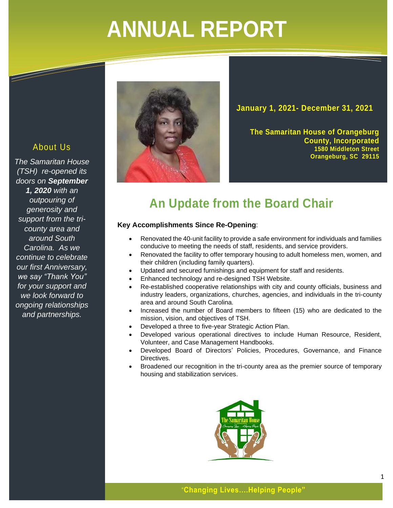# **ANNUAL REPORT**

# About Us

 $\overline{\mathscr{S}}$ 

*The Samaritan House (TSH) re-opened its doors on September 1, 2020 with an outpouring of generosity and support from the tricounty area and around South Carolina. As we continue to celebrate our first Anniversary, we say "Thank You" for your support and we look forward to ongoing relationships and partnerships.*



**January 1, 2021- December 31, 2021**

**The Samaritan House of Orangeburg County, Incorporated 1580 Middleton Street Orangeburg, SC 29115**

# **An Update from the Board Chair**

# **Key Accomplishments Since Re-Opening**:

- Renovated the 40-unit facility to provide a safe environment for individuals and families conducive to meeting the needs of staff, residents, and service providers.
- Renovated the facility to offer temporary housing to adult homeless men, women, and their children (including family quarters).
- Updated and secured furnishings and equipment for staff and residents.
- Enhanced technology and re-designed TSH Website.
- Re-established cooperative relationships with city and county officials, business and industry leaders, organizations, churches, agencies, and individuals in the tri-county area and around South Carolina.
- Increased the number of Board members to fifteen (15) who are dedicated to the mission, vision, and objectives of TSH.
- Developed a three to five-year Strategic Action Plan.
- Developed various operational directives to include Human Resource, Resident, Volunteer, and Case Management Handbooks.
- Developed Board of Directors' Policies, Procedures, Governance, and Finance Directives.
- Broadened our recognition in the tri-county area as the premier source of temporary housing and stabilization services.

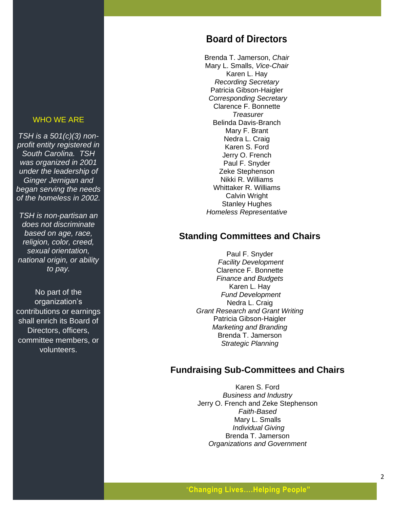#### WHO WE ARE

*TSH is a 501(c)(3) non profit entity registered in South Carolina. TSH was organized in 2001 under the leadership of Ginger Jernigan and began serving the needs of the homeless in 2002.*

*TSH is non -partisan an does not discriminate based on age, race, religion, color, creed, sexual orientation, national origin, or ability to pay.* 

No part of the organization's contributions or earnings shall enrich its Board of Directors, officers, committee members, or volunteer s.

# **Board of Directors**

Brenda T. Jamerson, *Chair* Mary L. Smalls, *Vice -Chair* Karen L. Hay *Recording Secretary* Patricia Gibson -Haigler *Corresponding Secretary* Clarence F. Bonnette *Treasurer* Belinda Davis -Branch Mary F. Brant Nedra L. Craig Karen S. Ford Jerry O. French Paul F. Snyder Zeke Stephenson Nikki R. Williams Whittaker R. Williams Calvin Wright Stanley Hughes *Homeless Representative*

# **Standing Committees and Chairs**

Paul F. Snyder *Facility Development* Clarence F. Bonnette *Finance and Budgets* Karen L. Hay *Fund Development* Nedra L. Craig *Grant Research and Grant Writing* Patricia Gibson -Haigler *Marketing and Branding* Brenda T. Jamerson *Strategic Planning*

# **Fundraising Sub -Committees and Chairs**

Karen S. Ford *Business and Industry* Jerry O. French and Zeke Stephenson *Faith -Based* Mary L. Smalls *Individual Giving* Brenda T. Jamerson *Organizations and Government*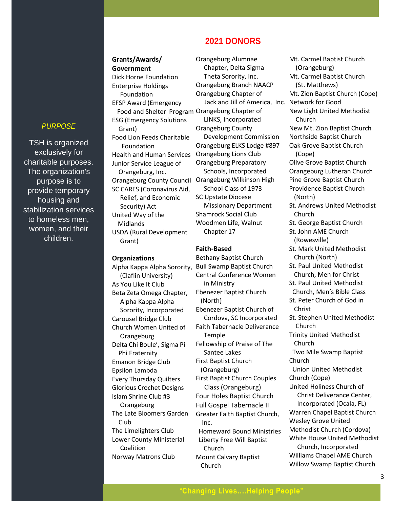## *PURPOSE*

TSH is organized exclusively for charitable purposes. The organization's purpose is to provide temporary housing and stabilization services to homeless men, women, and their children.

**Grants/Awards/ Government** Dick Horne Foundation Enterprise Holdings Foundation EFSP Award (Emergency Food and Shelter Program) Orangeburg Chapter of ESG (Emergency Solutions Grant) Food Lion Feeds Charitable Foundation Health and Human Services Orangeburg Lions Club Junior Service League of Orangeburg, Inc. Orangeburg County Council Orangeburg Wilkinson High SC CARES (Coronavirus Aid, Relief, and Economic Security) Act United Way of the Midlands USDA (Rural Development Grant)

#### **Organizations**

 (Claflin University) As You Like It Club Beta Zeta Omega Chapter, Alpha Kappa Alpha Sorority, Incorporated Carousel Bridge Club Church Women United of **Orangeburg** Delta Chi Boule', Sigma Pi Phi Fraternity Emanon Bridge Club Epsilon Lambda Every Thursday Quilters Glorious Crochet Designs Islam Shrine Club #3 Orangeburg The Late Bloomers Garden Club The Limelighters Club Lower County Ministerial Coalition Norway Matrons Club

Orangeburg Alumnae Chapter, Delta Sigma Theta Sorority, Inc. Orangeburg Branch NAACP Orangeburg Chapter of Jack and Jill of America, Inc. Network for Good LINKS, Incorporated Orangeburg County Development Commission Orangeburg ELKS Lodge #897 Orangeburg Preparatory Schools, Incorporated School Class of 1973 SC Upstate Diocese Missionary Department Shamrock Social Club Woodmen Life, Walnut Chapter 17

 **2021 DONORS** 

#### **Faith-Based**

Alpha Kappa Alpha Sorority, Bull Swamp Baptist Church Bethany Baptist Church Central Conference Women in Ministry Ebenezer Baptist Church (North) Ebenezer Baptist Church of Cordova, SC Incorporated Faith Tabernacle Deliverance Temple Fellowship of Praise of The Santee Lakes First Baptist Church (Orangeburg) First Baptist Church Couples Class (Orangeburg) Four Holes Baptist Church Full Gospel Tabernacle II Greater Faith Baptist Church, Inc. Homeward Bound Ministries Liberty Free Will Baptist Church Mount Calvary Baptist Church

Mt. Carmel Baptist Church (Orangeburg) Mt. Carmel Baptist Church (St. Matthews) Mt. Zion Baptist Church (Cope) New Light United Methodist Church New Mt. Zion Baptist Church Northside Baptist Church Oak Grove Baptist Church (Cope) Olive Grove Baptist Church Orangeburg Lutheran Church Pine Grove Baptist Church Providence Baptist Church (North) St. Andrews United Methodist Church St. George Baptist Church St. John AME Church (Rowesville) St. Mark United Methodist Church (North) St. Paul United Methodist Church, Men for Christ St. Paul United Methodist Church, Men's Bible Class St. Peter Church of God in Christ St. Stephen United Methodist Church Trinity United Methodist Church Two Mile Swamp Baptist Church Union United Methodist Church (Cope) United Holiness Church of Christ Deliverance Center, Incorporated (Ocala, FL) Warren Chapel Baptist Church Wesley Grove United Methodist Church (Cordova) White House United Methodist Church, Incorporated Williams Chapel AME Church Willow Swamp Baptist Church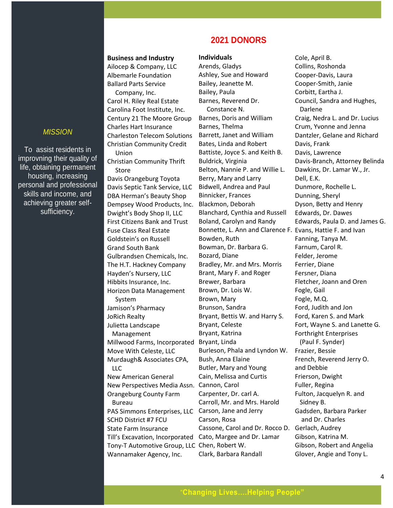## *MISSION*

To assist residents in improvning their quality of life, obtaining permanent housing, increasing personal and professional skills and income, and achieving greater selfsufficiency.

#### **Business and Industry**

Ailocep & Company, LLC Albemarle Foundation Ballard Parts Service

 Company, Inc. Carol H. Riley Real Estate Carolina Foot Institute, Inc. Century 21 The Moore Group Charles Hart Insurance Charleston Telecom Solutions Christian Community Credit Union

Christian Community Thrift Store

Davis Orangeburg Toyota Davis Septic Tank Service, LLC DBA Herman's Beauty Shop Dempsey Wood Products, Inc. Dwight's Body Shop II, LLC First Citizens Bank and Trust Fuse Class Real Estate Goldstein's on Russell Grand South Bank Gulbrandsen Chemicals, Inc. The H.T. Hackney Company Hayden's Nursery, LLC Hibbits Insurance, Inc. Horizon Data Management System Jamison's Pharmacy JoRich Realty Julietta Landscape Management Millwood Farms, Incorporated Bryant, Linda Move With Celeste, LLC Murdaugh& Associates CPA, LLC New American General New Perspectives Media Assn. Cannon, Carol Orangeburg County Farm Bureau PAS Simmons Enterprises, LLC Carson, Jane and Jerry SCHD District #7 FCU State Farm Insurance Till's Excavation, Incorporated Cato, Margee and Dr. Lamar Tony-T Automotive Group, LLC Chen, Robert W.

Wannamaker Agency, Inc.

# **2021 DONORS**

#### **Individuals**

Arends, Gladys Ashley, Sue and Howard Bailey, Jeanette M. Bailey, Paula Barnes, Reverend Dr. Constance N. Barnes, Doris and William Barnes, Thelma Barrett, Janet and William Bates, Linda and Robert Battiste, Joyce S. and Keith B. Buldrick, Virginia Belton, Nannie P. and Willie L. Berry, Mary and Larry Bidwell, Andrea and Paul Binnicker, Frances Blackmon, Deborah Blanchard, Cynthia and Russell Boland, Carolyn and Randy Bonnette, L. Ann and Clarence F. Evans, Hattie F. and Ivan Bowden, Ruth Bowman, Dr. Barbara G. Bozard, Diane Bradley, Mr. and Mrs. Morris Brant, Mary F. and Roger Brewer, Barbara Brown, Dr. Lois W. Brown, Mary Brunson, Sandra Bryant, Bettis W. and Harry S. Bryant, Celeste Bryant, Katrina Burleson, Phala and Lyndon W. Bush, Anna Elaine Butler, Mary and Young Cain, Melissa and Curtis Carpenter, Dr. carl A. Carroll, Mr. and Mrs. Harold Carson, Rosa Cassone, Carol and Dr. Rocco D. Gerlach, Audrey Clark, Barbara Randall

Cole, April B. Collins, Roshonda Cooper-Davis, Laura Cooper-Smith, Janie Corbitt, Eartha J. Council, Sandra and Hughes, Darlene Craig, Nedra L. and Dr. Lucius Crum, Yvonne and Jenna Dantzler, Gelane and Richard Davis, Frank Davis, Lawrence Davis-Branch, Attorney Belinda Dawkins, Dr. Lamar W., Jr. Dell, E.K. Dunmore, Rochelle L. Dunning, Sheryl Dyson, Betty and Henry Edwards, Dr. Dawes Edwards, Paula D. and James G. Fanning, Tanya M. Farnum, Carol R. Felder, Jerome Ferrier, Diane Fersner, Diana Fletcher, Joann and Oren Fogle, Gail Fogle, M.Q. Ford, Judith and Jon Ford, Karen S. and Mark Fort, Wayne S. and Lanette G. Forthright Enterprises (Paul F. Synder) Frazier, Bessie French, Reverend Jerry O. and Debbie Frierson, Dwight Fuller, Regina Fulton, Jacquelyn R. and Sidney B. Gadsden, Barbara Parker and Dr. Charles Gibson, Katrina M. Gibson, Robert and Angelia Glover, Angie and Tony L.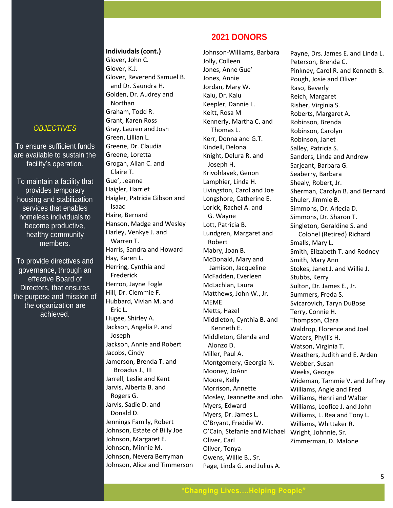# *OBJECTIVES*

To ensure sufficient funds are available to sustain the facility's operation.

To maintain a facility that provides temporary housing and stabilization homeless individuals to become productive, healthy community members. services that enables

To provide directives and governance, through an effective Board of . the organization are Directors, that ensures the purpose and mission of achieved.

#### **Indiviudals (cont.)**

Glover, John C. Glover, K.J. Glover, Reverend Samuel B. and Dr. Saundra H. Golden, Dr. Audrey and Northan Graham, Todd R. Grant, Karen Ross Gray, Lauren and Josh Green, Lillian L. Greene, Dr. Claudia Greene, Loretta Grogan, Allan C. and Claire T. Gue', Jeanne Haigler, Harriet Haigler, Patricia Gibson and Isaac Haire, Bernard Hanson, Madge and Wesley Harley, Venkye J. and Warren T. Harris, Sandra and Howard Hay, Karen L. Herring, Cynthia and Frederick Herron, Jayne Fogle Hill, Dr. Clemmie F. Hubbard, Vivian M. and Eric L. Hugee, Shirley A. Jackson, Angelia P. and Joseph Jackson, Annie and Robert Jacobs, Cindy Jamerson, Brenda T. and Broadus J., III Jarrell, Leslie and Kent Jarvis, Alberta B. and Rogers G. Jarvis, Sadie D. and Donald D. Jennings Family, Robert Johnson, Estate of Billy Joe Johnson, Margaret E. Johnson, Minnie M. Johnson, Nevera Berryman Johnson, Alice and Timmerson

# **2021 DONORS**

Johnson-Williams, Barbara Jolly, Colleen Jones, Anne Gue' Jones, Annie Jordan, Mary W. Kalu, Dr. Kalu Keepler, Dannie L. Keitt, Rosa M Kennerly, Martha C. and Thomas L. Kerr, Donna and G.T. Kindell, Delona Knight, Delura R. and Joseph H. Krivohlavek, Genon Lamphier, Linda H. Livingston, Carol and Joe Longshore, Catherine E. Lorick, Rachel A. and G. Wayne Lott, Patricia B. Lundgren, Margaret and Robert Mabry, Joan B. McDonald, Mary and Jamison, Jacqueline McFadden, Everleen McLachlan, Laura Matthews, John W., Jr. MEME Metts, Hazel Middleton, Cynthia B. and Kenneth E. Middleton, Glenda and Alonzo D. Miller, Paul A. Montgomery, Georgia N. Mooney, JoAnn Moore, Kelly Morrison, Annette Mosley, Jeannette and John Myers, Edward Myers, Dr. James L. O'Bryant, Freddie W. O'Cain, Stefanie and Michael Wright, Johnnie, Sr. Oliver, Carl Oliver, Tonya Owens, Willie B., Sr. Page, Linda G. and Julius A.

Payne, Drs. James E. and Linda L. Peterson, Brenda C. Pinkney, Carol R. and Kenneth B. Pough, Josie and Oliver Raso, Beverly Reich, Margaret Risher, Virginia S. Roberts, Margaret A. Robinson, Brenda Robinson, Carolyn Robinson, Janet Salley, Patricia S. Sanders, Linda and Andrew Sarjeant, Barbara G. Seaberry, Barbara Shealy, Robert, Jr. Sherman, Carolyn B. and Bernard Shuler, Jimmie B. Simmons, Dr. Arlecia D. Simmons, Dr. Sharon T. Singleton, Geraldine S. and Colonel (Retired) Richard Smalls, Mary L. Smith, Elizabeth T. and Rodney Smith, Mary Ann Stokes, Janet J. and Willie J. Stubbs, Kerry Sulton, Dr. James E., Jr. Summers, Freda S. Svicarovich, Taryn DuBose Terry, Connie H. Thompson, Clara Waldrop, Florence and Joel Waters, Phyllis H. Watson, Virginia T. Weathers, Judith and E. Arden Webber, Susan Weeks, George Wideman, Tammie V. and Jeffrey Williams, Angie and Fred Williams, Henri and Walter Williams, Leofice J. and John Williams, L. Rea and Tony L. Williams, Whittaker R. Zimmerman, D. Malone

# "**Changing Lives….Helping People"**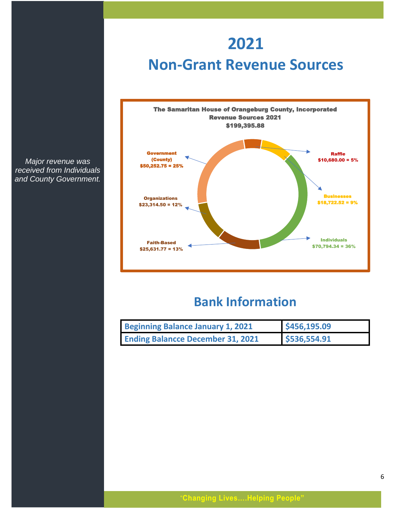# **2021 Non-Grant Revenue Sources**



*Major revenue was received from Individuals and County Government.* 

# **Bank Information**

| Beginning Balance January 1, 2021        | \$456,195.09 |
|------------------------------------------|--------------|
| <b>Ending Balancce December 31, 2021</b> | \$536,554.91 |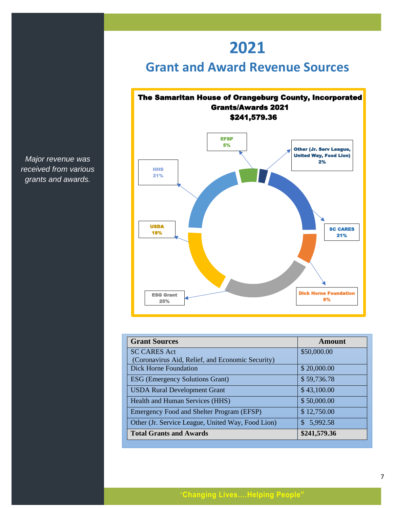# **2021**

# **Grant and Award Revenue Sources**



| <b>Grant Sources</b>                              | Amount          |
|---------------------------------------------------|-----------------|
| <b>SC CARES Act</b>                               | \$50,000.00     |
| (Coronavirus Aid, Relief, and Economic Security)  |                 |
| Dick Horne Foundation                             | \$20,000.00     |
| <b>ESG</b> (Emergency Solutions Grant)            | \$59,736.78     |
| <b>USDA Rural Development Grant</b>               | \$43,100.00     |
| Health and Human Services (HHS)                   | \$50,000.00     |
| Emergency Food and Shelter Program (EFSP)         | \$12,750.00     |
| Other (Jr. Service League, United Way, Food Lion) | 5,992.58<br>\$. |
| <b>Total Grants and Awards</b>                    | \$241,579.36    |

*Major revenue was received from various grants and awards.*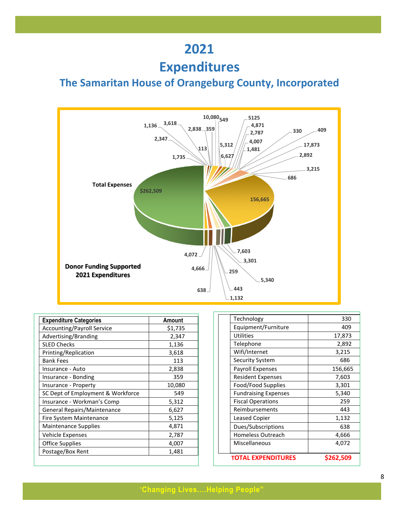# **2021**

# **Expenditures**

# **The Samaritan House of Orangeburg County, Incorporated**



| <b>Expenditure Categories</b>     | Amount  |
|-----------------------------------|---------|
| <b>Accounting/Payroll Service</b> | \$1,735 |
| Advertising/Branding              | 2,347   |
| <b>SLED Checks</b>                | 1,136   |
| Printing/Replication              | 3,618   |
| <b>Bank Fees</b>                  | 113     |
| Insurance - Auto                  | 2,838   |
| Insurance - Bonding               | 359     |
| Insurance - Property              | 10,080  |
| SC Dept of Employment & Workforce | 549     |
| Insurance - Workman's Comp        | 5,312   |
| General Repairs/Maintenance       | 6,627   |
| Fire System Maintenance           | 5,125   |
| <b>Maintenance Supplies</b>       | 4,871   |
| Vehicle Expenses                  | 2,787   |
| Office Supplies                   | 4,007   |
| Postage/Box Rent                  | 1,481   |

| <b>TOTAL EXPENDITURES</b>   | \$262,509 |
|-----------------------------|-----------|
| Miscellaneous               | 4,072     |
| <b>Homeless Outreach</b>    | 4,666     |
| Dues/Subscriptions          | 638       |
| <b>Leased Copier</b>        | 1,132     |
| Reimbursements              | 443       |
| <b>Fiscal Operations</b>    | 259       |
| <b>Fundraising Expenses</b> | 5,340     |
| Food/Food Supplies          | 3,301     |
| <b>Resident Expenses</b>    | 7,603     |
| <b>Payroll Expenses</b>     | 156,665   |
| <b>Security System</b>      | 686       |
| Wifi/Internet               | 3,215     |
| Telephone                   | 2,892     |
| <b>Utilities</b>            | 17,873    |
| Equipment/Furniture         | 409       |
| Technology                  | 330       |
|                             |           |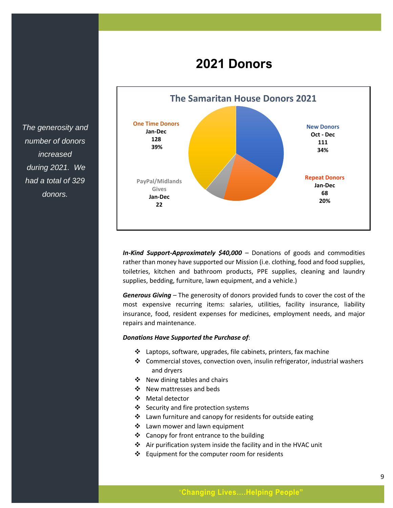# **2021 Donors**

**The Samaritan House Donors 2021 New Donors Oct - Dec 111 34% Repeat Donors Jan-Dec 68 20% One Time Donors Jan-Dec 128 39% PayPal/Midlands Gives Jan-Dec 22**

*In-Kind Support-Approximately \$40,000* – Donations of goods and commodities rather than money have supported our Mission (i.e. clothing, food and food supplies, toiletries, kitchen and bathroom products, PPE supplies, cleaning and laundry supplies, bedding, furniture, lawn equipment, and a vehicle.)

*Generous Giving* – The generosity of donors provided funds to cover the cost of the most expensive recurring items: salaries, utilities, facility insurance, liability insurance, food, resident expenses for medicines, employment needs, and major repairs and maintenance.

#### *Donations Have Supported the Purchase of*:

- ❖ Laptops, software, upgrades, file cabinets, printers, fax machine
- ❖ Commercial stoves, convection oven, insulin refrigerator, industrial washers and dryers
- ❖ New dining tables and chairs
- ❖ New mattresses and beds
- ❖ Metal detector
- ❖ Security and fire protection systems
- ❖ Lawn furniture and canopy for residents for outside eating
- ❖ Lawn mower and lawn equipment
- ❖ Canopy for front entrance to the building
- ❖ Air purification system inside the facility and in the HVAC unit
- ❖ Equipment for the computer room for residents

*The generosity and number of donors increased during 2021. We had a total of 329 donors.*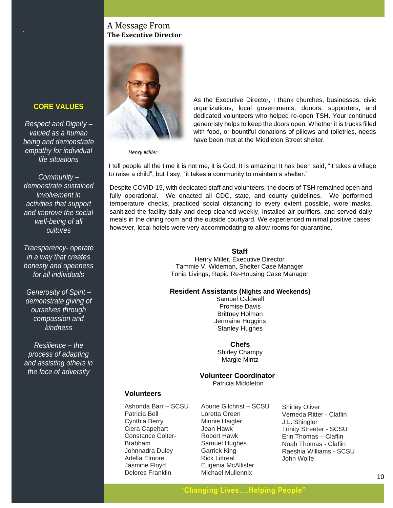## A Message From **The Executive Director**



As the Executive Director, I thank churches, businesses, civic organizations, local governments, donors, supporters, and dedicated volunteers who helped re-open TSH. Your continued geneoristy helps to keep the doors open. Whether it is trucks filled with food, or bountiful donations of pillows and toiletries, needs have been met at the Middleton Street shelter.

*Henry Miller*

I tell people all the time it is not me, it is God. It is amazing! It has been said, "it takes a village to raise a child", but I say, "it takes a community to maintain a shelter."

Despite COVID-19, with dedicated staff and volunteers, the doors of TSH remained open and fully operational. We enacted all CDC, state, and county guidelines. We performed temperature checks, practiced social distancing to every extent possible, wore masks, sanitized the facility daily and deep cleaned weekly, installed air purifiers, and served daily meals in the dining room and the outside courtyard. We experienced minimal positive cases; however, local hotels were very accommodating to allow rooms for quarantine.

#### **Staff**

Henry Miller, Executive Director Tammie V. Wideman, Shelter Case Manager Tonia Livings, Rapid Re-Housing Case Manager

#### **Resident Assistants (Nights and Weekends)**

Samuel Caldwell Promise Davis Brittney Holman Jermaine Huggins Stanley Hughes

#### **Chefs**

Shirley Champy Margie Mintz

**Volunteer Coordinator**

Patricia Middleton

## **Volunteers**

Ashonda Barr – SCSU Patricia Bell Cynthia Berry Ciera Capehart Constance Colter-Brabham Johnnadra Duley Adella Elmore Jasmine Floyd Delores Franklin

Aburie Gilchrist – SCSU Loretta Green Minnie Haigler Jean Hawk Robert Hawk Samuel Hughes Garrick King Rick Littreal Eugenia McAllister Michael Mullennix

Shirley Oliver Verneda Ritter - Claflin J.L. Shingler Trinity Streeter - SCSU Erin Thomas – Claflin Noah Thomas - Claflin Raeshia Williams - SCSU John Wolfe

## **CORE VALUES**

*Respect and Dignity – valued as a human being and demonstrate empathy for individual life situations*

*Community – demonstrate sustained involvement in activities that support and improve the social well-being of all cultures*

*Transparency- operate in a way that creates honesty and openness for all individuals*

*Generosity of Spirit – demonstrate giving of ourselves through compassion and kindness*

*Resilience – the process of adapting and assisting others in the face of adversity*

# "**Changing Lives….Helping People"**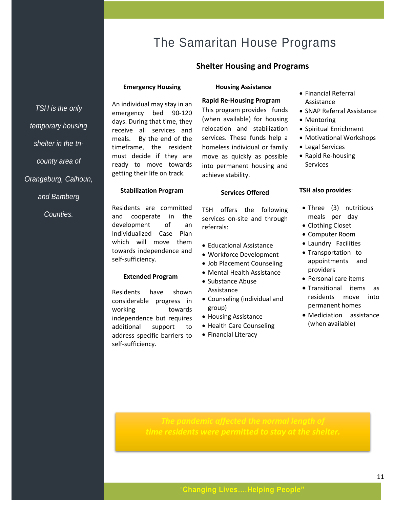# The Samaritan House Programs

## **Shelter Housing and Programs**

#### **Emergency Housing**

An individual may stay in an emergency bed 90-120 days. During that time, they receive all services and meals. By the end of the timeframe, the resident must decide if they are ready to move towards getting their life on track.

#### **Housing Assistance**

#### **Rapid Re-Housing Program**

This program provides funds (when available) for housing relocation and stabilization services. These funds help a homeless individual or family move as quickly as possible into permanent housing and achieve stability.

**Services Offered**

TSH offers the following services on-site and through

• Educational Assistance

- Financial Referral Assistance
- SNAP Referral Assistance
- Mentoring
- Spiritual Enrichment
- Motivational Workshops
- Legal Services
- Rapid Re-housing Services

#### **TSH also provides**:

- Three (3) nutritious meals per day
- Clothing Closet
- Computer Room
- Laundry Facilities
- Transportation to appointments and providers
- Personal care items
- Transitional items as residents move into permanent homes
- Mediciation assistance (when available)

#### **Stabilization Program**

Residents are committed and cooperate in the development of an Individualized Case Plan which will move them towards independence and self-sufficiency.

#### **Extended Program**

Residents have shown considerable progress in working towards independence but requires additional support to address specific barriers to self-sufficiency.

• Workforce Development • Job Placement Counseling • Mental Health Assistance

referrals:

- Substance Abuse Assistance
- Counseling (individual and group)
- Housing Assistance
- Health Care Counseling
- Financial Literacy

*TSH is the only temporary housing shelter in the tricounty area of Orangeburg, Calhoun, and Bamberg Counties.* 

"**Changing Lives….Helping People"**

*time residents were permitted to stay at the shelter.*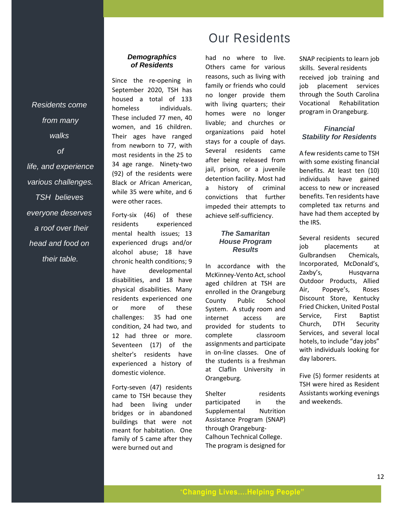*from many walks of life, and experience various challenges. TSH believes everyone deserves a roof over their head and food on their table.*

*Residents come*

## *Demographics of Residents*

Since the re-opening in September 2020, TSH has housed a total of 133 homeless individuals. These included 77 men, 40 women, and 16 children. Their ages have ranged from newborn to 77, with most residents in the 25 to 34 age range. Ninety-two (92) of the residents were Black or African American, while 35 were white, and 6 were other races.

Forty-six (46) of these residents experienced mental health issues; 13 experienced drugs and/or alcohol abuse; 18 have chronic health conditions; 9 have developmental disabilities, and 18 have physical disabilities. Many residents experienced one or more of these challenges: 35 had one condition, 24 had two, and 12 had three or more. Seventeen (17) of the shelter's residents have experienced a history of domestic violence.

Forty-seven (47) residents came to TSH because they had been living under bridges or in abandoned buildings that were not meant for habitation. One family of 5 came after they were burned out and

# Our Residents

had no where to live. Others came for various reasons, such as living with family or friends who could no longer provide them with living quarters; their homes were no longer livable; and churches or organizations paid hotel stays for a couple of days. Several residents came after being released from jail, prison, or a juvenile detention facility. Most had a history of criminal convictions that further impeded their attempts to achieve self-sufficiency.

#### *The Samaritan House Program Results*

In accordance with the McKinney-Vento Act, school aged children at TSH are enrolled in the Orangeburg County Public School System. A study room and internet access are provided for students to complete classroom assignments and participate in on-line classes. One of the students is a freshman at Claflin University in Orangeburg.

Shelter residents participated in the Supplemental Nutrition Assistance Program (SNAP) through Orangeburg-Calhoun Technical College. The program is designed for

SNAP recipients to learn job skills. Several residents received job training and job placement services through the South Carolina Vocational Rehabilitation program in Orangeburg.

#### *Financial Stability for Residents*

A few residents came to TSH with some existing financial benefits. At least ten (10) individuals have gained access to new or increased benefits. Ten residents have completed tax returns and have had them accepted by the IRS.

Several residents secured job placements at Gulbrandsen Chemicals, Incorporated, McDonald's, Zaxby's, Husqvarna Outdoor Products, Allied Air, Popeye's, Roses Discount Store, Kentucky Fried Chicken, United Postal Service, First Baptist Church, DTH Security Services, and several local hotels, to include "day jobs" with individuals looking for day laborers.

Five (5) former residents at TSH were hired as Resident Assistants working evenings and weekends.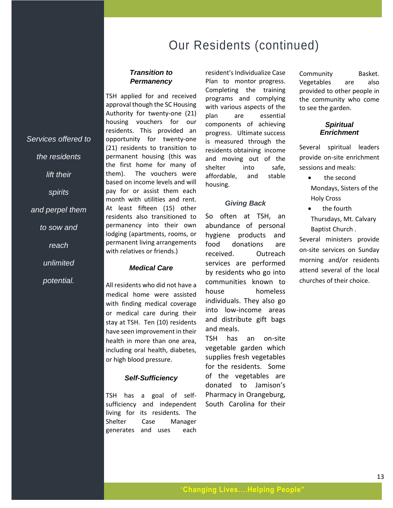Our Residents (continued)

#### *Transition to Permanency*

TSH applied for and received approval though the SC Housing Authority for twenty-one (21) housing vouchers for our residents. This provided an opportunity for twenty-one (21) residents to transition to permanent housing (this was the first home for many of them). The vouchers were based on income levels and will pay for or assist them each month with utilities and rent. At least fifteen (15) other residents also transitioned to permanency into their own lodging (apartments, rooms, or permanent living arrangements with relatives or friends.)

*Services offered to* 

*the residents* 

*lift their*

*spirits*

*and perpel them*

*to sow and* 

*reach* 

*unlimited* 

*potential.*

#### *Medical Care*

All residents who did not have a medical home were assisted with finding medical coverage or medical care during their stay at TSH. Ten (10) residents have seen improvement in their health in more than one area, including oral health, diabetes, or high blood pressure.

#### *Self-Sufficiency*

TSH has a goal of selfsufficiency and independent living for its residents. The Shelter Case Manager generates and uses each

resident's Individualize Case Plan to montor progress. Completing the training programs and complying with various aspects of the plan are essential components of achieving progress. Ultimate success is measured through the residents obtaining income and moving out of the shelter into safe, affordable, and stable housing.

#### *Giving Back*

So often at TSH, an abundance of personal hygiene products and food donations are received. Outreach services are performed by residents who go into communities known to house homeless individuals. They also go into low-income areas and distribute gift bags and meals.

TSH has an on-site vegetable garden which supplies fresh vegetables for the residents. Some of the vegetables are donated to Jamison's Pharmacy in Orangeburg, South Carolina for their Community Basket. Vegetables are also provided to other people in the community who come to see the garden.

#### *Spiritual Enrichment*

Several spiritual leaders provide on-site enrichment sessions and meals:

- the second Mondays, Sisters of the
- Holy Cross • the fourth
- Thursdays, Mt. Calvary Baptist Church .

Several ministers provide on-site services on Sunday morning and/or residents attend several of the local churches of their choice.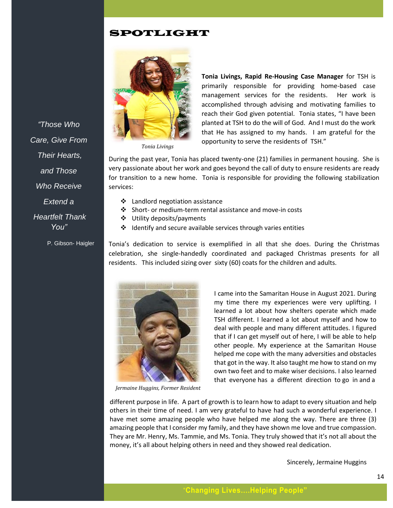# SPOTLIGHT



*Tonia Livings*

**Tonia Livings, Rapid Re-Housing Case Manager** for TSH is primarily responsible for providing home-based case management services for the residents. Her work is accomplished through advising and motivating families to reach their God given potential. Tonia states, "I have been planted at TSH to do the will of God. And I must do the work that He has assigned to my hands. I am grateful for the opportunity to serve the residents of TSH."

During the past year, Tonia has placed twenty-one (21) families in permanent housing. She is very passionate about her work and goes beyond the call of duty to ensure residents are ready for transition to a new home. Tonia is responsible for providing the following stabilization services:

- ❖ Landlord negotiation assistance
- ❖ Short- or medium-term rental assistance and move-in costs
- ❖ Utility deposits/payments
- ❖ Identify and secure available services through varies entities

Tonia's dedication to service is exemplified in all that she does. During the Christmas celebration, she single-handedly coordinated and packaged Christmas presents for all residents. This included sizing over sixty (60) coats for the children and adults.



*Jermaine Huggins, Former Resident*

I came into the Samaritan House in August 2021. During my time there my experiences were very uplifting. I learned a lot about how shelters operate which made TSH different. I learned a lot about myself and how to deal with people and many different attitudes. I figured that if I can get myself out of here, I will be able to help other people. My experience at the Samaritan House helped me cope with the many adversities and obstacles that got in the way. It also taught me how to stand on my own two feet and to make wiser decisions. I also learned that everyone has a different direction to go in and a

different purpose in life. A part of growth is to learn how to adapt to every situation and help others in their time of need. I am very grateful to have had such a wonderful experience. I have met some amazing people who have helped me along the way. There are three (3) amazing people that I consider my family, and they have shown me love and true compassion. They are Mr. Henry, Ms. Tammie, and Ms. Tonia. They truly showed that it's not all about the money, it's all about helping others in need and they showed real dedication.

Sincerely, Jermaine Huggins

*"Those Who Care, Give From Their Hearts, and Those Who Receive Extend a Heartfelt Thank You"*

P. Gibson- Haigler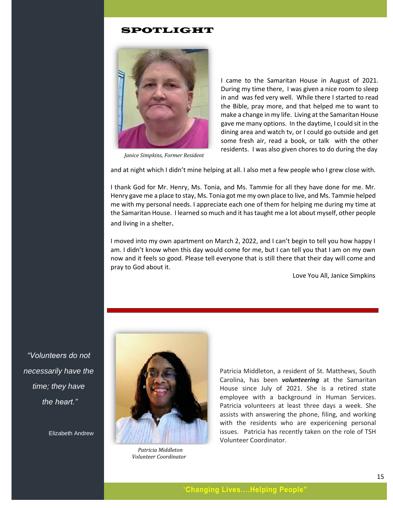## SPOTLIGHT



 *Janice Simpkins, Former Resident*

I came to the Samaritan House in August of 2021. During my time there, I was given a nice room to sleep in and was fed very well. While there I started to read the Bible, pray more, and that helped me to want to make a change in my life. Living at the Samaritan House gave me many options. In the daytime, I could sit in the dining area and watch tv, or I could go outside and get some fresh air, read a book, or talk with the other residents. I was also given chores to do during the day

and at night which I didn't mine helping at all. I also met a few people who I grew close with.

I thank God for Mr. Henry, Ms. Tonia, and Ms. Tammie for all they have done for me. Mr. Henry gave me a place to stay, Ms. Tonia got me my own place to live, and Ms. Tammie helped me with my personal needs. I appreciate each one of them for helping me during my time at the Samaritan House. I learned so much and it has taught me a lot about myself, other people and living in a shelter.

I moved into my own apartment on March 2, 2022, and I can't begin to tell you how happy I am. I didn't know when this day would come for me, but I can tell you that I am on my own now and it feels so good. Please tell everyone that is still there that their day will come and pray to God about it.

Love You All, Janice Simpkins

*"Volunteers do not necessarily have the time; they have the heart."*

Elizabeth Andrew



 *Patricia Middleton Volunteer Coordinator*

Patricia Middleton, a resident of St. Matthews, South Carolina, has been *volunteering* at the Samaritan House since July of 2021. She is a retired state employee with a background in Human Services. Patricia volunteers at least three days a week. She assists with answering the phone, filing, and working with the residents who are expericening personal issues. Patricia has recently taken on the role of TSH Volunteer Coordinator.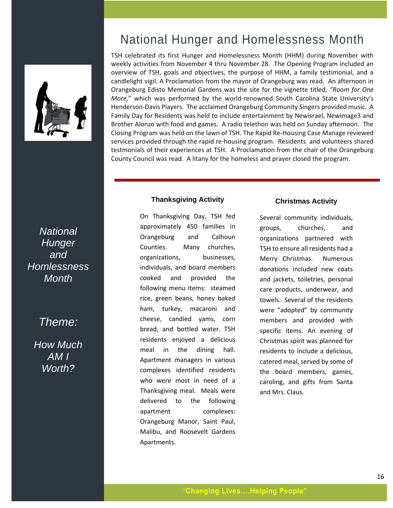

# *National Hunger and Homlessness Month*

# *Theme:*

*How Much AM I Worth?*

# National Hunger and Homelessness Month

TSH celebrated its first Hunger and Homelessness Month (HHM) during November with weekly activities from November 4 thru November 28. The Opening Program included an overview of TSH, goals and objectives, the purpose of HHM, a family testimonial, and a candlelight vigil. A Proclamation from the mayor of Orangeburg was read. An afternoon in Orangeburg Edisto Memorial Gardens was the site for the vignette titled, *"Room for One More,*" which was performed by the world-renowned South Carolina State University's Henderson-Davis Players. The acclaimed Orangeburg Community Singers provided music. A Family Day for Residents was held to include entertainment by Newisrael, Newimage3 and Brother Alonzo with food and games. A radio telethon was held on Sunday afternoon. The Closing Program was held on the lawn of TSH. The Rapid Re-Housing Case Manage reviewed services provided through the rapid re-housing program. Residents and volunteers shared testmonials of their experiences at TSH. A Proclamation from the chair of the Orangeburg County Council was read. A litany for the homeless and prayer closed the program.

## **Thanksgiving Activity**

On Thanksgiving Day, TSH fed approximately 450 families in Orangeburg and Calhoun Counties. Many churches, organizations, businesses, individuals, and board members cooked and provided the following menu items: steamed rice, green beans, honey baked ham, turkey, macaroni and cheese, candied yams, corn bread, and bottled water. TSH residents enjoyed a delicious meal in the dining hall. Apartment managers in various complexes identified residents who were most in need of a Thanksgiving meal. Meals were delivered to the following apartment complexes: Orangeburg Manor, Saint Paul, Malibu, and Roosevelt Gardens Apartments.

## **Christmas Activity**

Several community individuals, groups, churches, and organizations partnered with TSH to ensure all residents had a Merry Christmas. Numerous donations included new coats and jackets, toiletries, personal care products, underwear, and towels. Several of the residents were "adopted" by community members and provided with specific items. An evening of Christmas spirit was planned for residents to include a delicious, catered meal, served by some of the board members, games, caroling, and gifts from Santa and Mrs. Claus.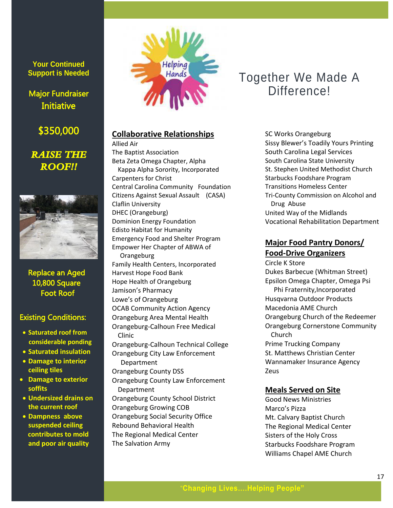**Your Continued Support is Needed**

# Major Fundraiser **Initiative**

\$350,000

# *RAISE THE ROOF!!*



 Replace an Aged 10,800 Square Foot Roof

## Existing Conditions:

- **Saturated roof from considerable ponding**
- **Saturated insulation**
- **Damage to interior ceiling tiles**
- **Damage to exterior soffits**
- **Undersized drains on the current roof**
- **Dampness above suspended ceiling contributes to mold and poor air quality**



# **Collaborative Relationships**

Allied Air The Baptist Association Beta Zeta Omega Chapter, Alpha Kappa Alpha Sorority, Incorporated Carpenters for Christ Central Carolina Community Foundation Citizens Against Sexual Assault (CASA) Claflin University DHEC (Orangeburg) Dominion Energy Foundation Edisto Habitat for Humanity Emergency Food and Shelter Program Empower Her Chapter of ABWA of **Orangeburg** Family Health Centers, Incorporated Harvest Hope Food Bank Hope Health of Orangeburg Jamison's Pharmacy Lowe's of Orangeburg OCAB Community Action Agency Orangeburg Area Mental Health Orangeburg-Calhoun Free Medical Clinic Orangeburg-Calhoun Technical College Orangeburg City Law Enforcement Department Orangeburg County DSS Orangeburg County Law Enforcement Department Orangeburg County School District Orangeburg Growing COB Orangeburg Social Security Office Rebound Behavioral Health The Regional Medical Center

The Salvation Army

# Together We Made A Difference!

SC Works Orangeburg Sissy Blewer's Toadily Yours Printing South Carolina Legal Services South Carolina State University St. Stephen United Methodist Church Starbucks Foodshare Program Transitions Homeless Center Tri-County Commission on Alcohol and Drug Abuse United Way of the Midlands Vocational Rehabilitation Department

# **Major Food Pantry Donors/ Food-Drive Organizers**

Circle K Store Dukes Barbecue (Whitman Street) Epsilon Omega Chapter, Omega Psi Phi Fraternity,Incorporated Husqvarna Outdoor Products Macedonia AME Church Orangeburg Church of the Redeemer Orangeburg Cornerstone Community Church Prime Trucking Company St. Matthews Christian Center Wannamaker Insurance Agency Zeus

## **Meals Served on Site**

Good News Ministries Marco's Pizza Mt. Calvary Baptist Church The Regional Medical Center Sisters of the Holy Cross Starbucks Foodshare Program Williams Chapel AME Church